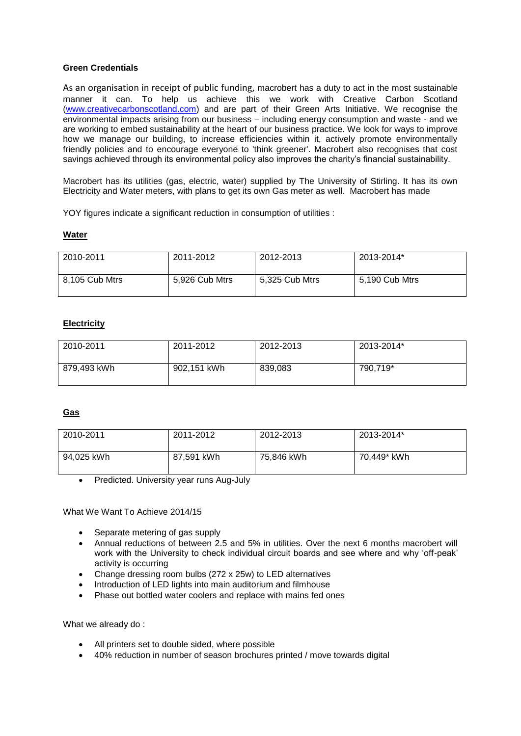# **Green Credentials**

As an organisation in receipt of public funding, macrobert has a duty to act in the most sustainable manner it can. To help us achieve this we work with Creative Carbon Scotland [\(www.creativecarbonscotland.](http://www.creativecarbonscotland/)com) and are part of their Green Arts Initiative. We recognise the environmental impacts arising from our business – including energy consumption and waste - and we are working to embed sustainability at the heart of our business practice. We look for ways to improve how we manage our building, to increase efficiencies within it, actively promote environmentally friendly policies and to encourage everyone to 'think greener'. Macrobert also recognises that cost savings achieved through its environmental policy also improves the charity's financial sustainability.

Macrobert has its utilities (gas, electric, water) supplied by The University of Stirling. It has its own Electricity and Water meters, with plans to get its own Gas meter as well. Macrobert has made

YOY figures indicate a significant reduction in consumption of utilities :

### **Water**

| 2010-2011      | 2011-2012      | 2012-2013      | 2013-2014*     |
|----------------|----------------|----------------|----------------|
| 8,105 Cub Mtrs | 5,926 Cub Mtrs | 5,325 Cub Mtrs | 5,190 Cub Mtrs |

# **Electricity**

| 2010-2011   | 2011-2012   | 2012-2013 | 2013-2014* |
|-------------|-------------|-----------|------------|
| 879,493 kWh | 902,151 kWh | 839,083   | 790,719*   |

# **Gas**

| 2010-2011  | 2011-2012  | 2012-2013  | 2013-2014*  |
|------------|------------|------------|-------------|
| 94.025 kWh | 87,591 kWh | 75.846 kWh | 70.449* kWh |

Predicted. University year runs Aug-July

What We Want To Achieve 2014/15

- Separate metering of gas supply
- Annual reductions of between 2.5 and 5% in utilities. Over the next 6 months macrobert will work with the University to check individual circuit boards and see where and why 'off-peak' activity is occurring
- Change dressing room bulbs (272 x 25w) to LED alternatives
- Introduction of LED lights into main auditorium and filmhouse
- Phase out bottled water coolers and replace with mains fed ones

What we already do :

- All printers set to double sided, where possible
- 40% reduction in number of season brochures printed / move towards digital